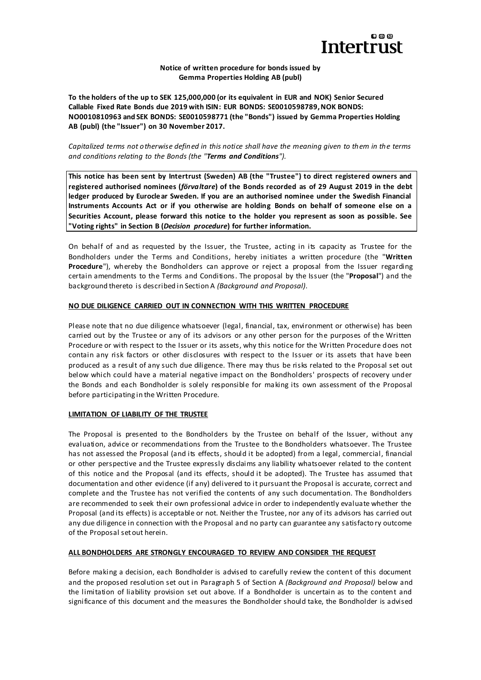

### **Notice of written procedure for bonds issued by Gemma Properties Holding AB (publ)**

**To the holders of the up to SEK 125,000,000 (or its equivalent in EUR and NOK) Senior Secured Callable Fixed Rate Bonds due 2019 with ISIN: EUR BONDS: SE0010598789, NOK BONDS: NO0010810963 and SEK BONDS: SE0010598771 (the "Bonds") issued by Gemma Properties Holding AB (publ) (the "Issuer") on 30 November 2017.**

*Capitalized terms not otherwise defined in this notice shall have the meaning given to them in the terms and conditions relating to the Bonds (the "Terms and Conditions").*

**This notice has been sent by Intertrust (Sweden) AB (the "Trustee") to direct registered owners and registered authorised nominees (***förvaltare***) of the Bonds recorded as of 29 August 2019 in the debt ledger produced by Euroclear Sweden. If you are an authorised nominee under the Swedish Financial Instruments Accounts Act or if you otherwise are holding Bonds on behalf of someone else on a Securities Account, please forward this notice to the holder you represent as soon as possible. See "Voting rights" in Section B (***Decision procedure***) for further information.**

On behalf of and as requested by the Issuer, the Trustee, acting in its capacity as Trustee for the Bondholders under the Terms and Conditions, hereby initiates a written procedure (the "**Written Procedure**"), whereby the Bondholders can approve or reject a proposal from the Issuer regarding certain amendments to the Terms and Conditions. The proposal by the Issuer (the "**Proposal**") and the background thereto is described in Section A *(Background and Proposal)*.

### **NO DUE DILIGENCE CARRIED OUT IN CONNECTION WITH THIS WRITTEN PROCEDURE**

Please note that no due diligence whatsoever (legal, financial, tax, environment or otherwise) has been carried out by the Trustee or any of its advisors or any other person for the purposes of the Written Procedure or with respect to the Issuer or its assets, why this notice for the Written Procedure does not contain any risk factors or other disclosures with respect to the Issuer or its assets that have been produced as a result of any such due diligence. There may thus be risks related to the Proposal set out below which could have a material negative impact on the Bondholders' prospects of recovery under the Bonds and each Bondholder is solely responsible for making its own assessment of the Proposal before participating in the Written Procedure.

# **LIMITATION OF LIABILITY OF THE TRUSTEE**

The Proposal is presented to the Bondholders by the Trustee on behalf of the Issuer, without any evaluation, advice or recommendations from the Trustee to the Bondholders whatsoever. The Trustee has not assessed the Proposal (and its effects, should it be adopted) from a legal, commercial, financial or other perspective and the Trustee expressly disclaims any liability whatsoever related to the content of this notice and the Proposal (and its effects, should it be adopted). The Trustee has assumed that documentation and other evidence (if any) delivered to it pursuant the Proposal is accurate, correct and complete and the Trustee has not verified the contents of any such documentation. The Bondholders are recommended to seek their own professional advice in order to independently evaluate whether the Proposal (and its effects) is acceptable or not. Neither the Trustee, nor any of its advisors has carried out any due diligence in connection with the Proposal and no party can guarantee any satisfactory outcome of the Proposal set out herein.

### **ALL BONDHOLDERS ARE STRONGLY ENCOURAGED TO REVIEW AND CONSIDER THE REQUEST**

Before making a decision, each Bondholder is advised to carefully review the content of this document and the proposed resolution set out in Paragraph 5 of Section A *(Background and Proposal)* below and the limitation of liability provision set out above. If a Bondholder is uncertain as to the content and significance of this document and the measures the Bondholder should take, the Bondholder is advised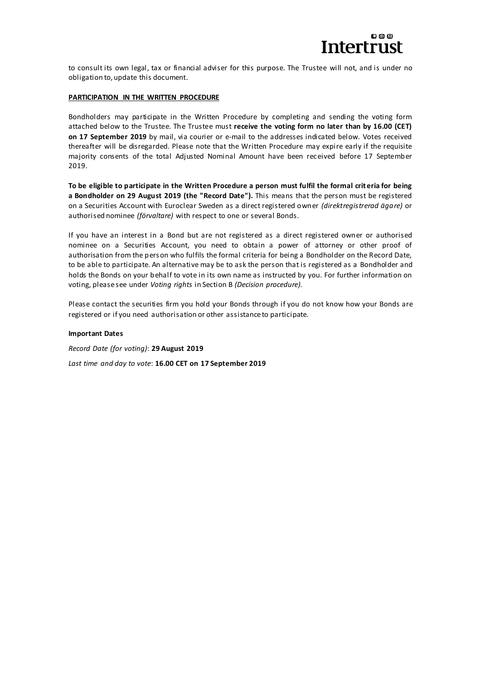

to consult its own legal, tax or financial adviser for this purpose. The Trustee will not, and is under no obligation to, update this document.

### **PARTICIPATION IN THE WRITTEN PROCEDURE**

Bondholders may participate in the Written Procedure by completing and sending the voting form attached below to the Trustee. The Trustee must **receive the voting form no later than by 16.00 (CET) on 17 September 2019** by mail, via courier or e-mail to the addresses indicated below. Votes received thereafter will be disregarded. Please note that the Written Procedure may expire early if the requisite majority consents of the total Adjusted Nominal Amount have been rec eived before 17 September 2019.

**To be eligible to participate in the Written Procedure a person must fulfil the formal crit eria for being a Bondholder on 29 August 2019 (the "Record Date").** This means that the person must be registered on a Securities Account with Euroclear Sweden as a direct registered owner *(direktregistrerad ägare)* or authorised nominee *(förvaltare)* with respect to one or several Bonds.

If you have an interest in a Bond but are not registered as a direct registered owner or authorised nominee on a Securities Account, you need to obtain a power of attorney or other proof of authorisation from the person who fulfils the formal criteria for being a Bondholder on the Record Date, to be able to participate. An alternative may be to ask the person that is registered as a Bondholder and holds the Bonds on your behalf to vote in its own name as instructed by you. For further information on voting, please see under *Voting rights* in Section B *(Decision procedure).*

Please contact the securities firm you hold your Bonds through if you do not know how your Bonds are registered or if you need authorisation or other assistance to participate.

### **Important Dates**

*Record Date (for voting)*: **29 August 2019**

*Last time and day to vote*: **16.00 CET on 17 September 2019**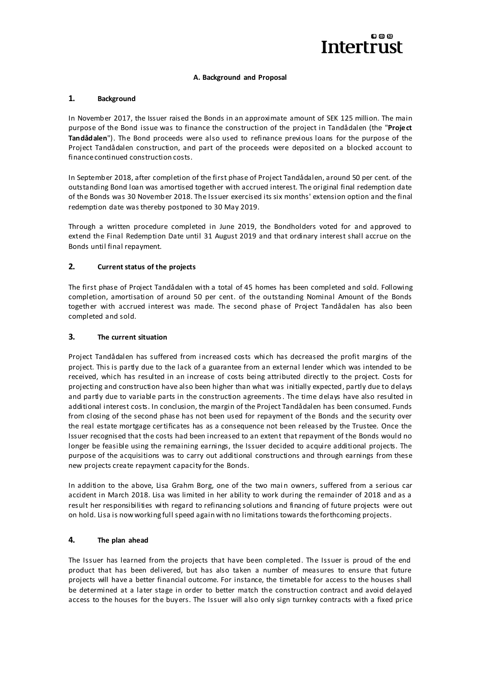

### **A. Background and Proposal**

# **1. Background**

In November 2017, the Issuer raised the Bonds in an approximate amount of SEK 125 million. The main purpose of the Bond issue was to finance the construction of the project in Tandådalen (the "**Project Tandådalen**"). The Bond proceeds were also used to refinance previous loans for the purpose of the Project Tandådalen construction, and part of the proceeds were deposited on a blocked account to finance continued construction costs.

In September 2018, after completion of the first phase of Project Tandådalen, around 50 per cent. of the outstanding Bond loan was amortised together with accrued interest. The original final redemption date of the Bonds was 30 November 2018. The Issuer exercised its six months' extension option and the final redemption date was thereby postponed to 30 May 2019.

Through a written procedure completed in June 2019, the Bondholders voted for and approved to extend the Final Redemption Date until 31 August 2019 and that ordinary interest shall accrue on the Bonds until final repayment.

# **2. Current status of the projects**

The first phase of Project Tandådalen with a total of 45 homes has been completed and sold. Following completion, amortisation of around 50 per cent. of the outstanding Nominal Amount of the Bonds together with accrued interest was made. The second phase of Project Tandådalen has also been completed and sold.

### **3. The current situation**

Project Tandådalen has suffered from increased costs which has decreased the profit margins of the project. This is partly due to the lack of a guarantee from an external lender which was intended to be received, which has resulted in an increase of costs being attributed directly to the project. Costs for projecting and construction have also been higher than what was initially expected, partly due to delays and partly due to variable parts in the construction agreements. The time delays have also resulted in additional interest costs. In conclusion, the margin of the Project Tandådalen has been consumed. Funds from closing of the second phase has not been used for repayment of the Bonds and the security over the real estate mortgage certificates has as a consequence not been released by the Trustee. Once the Issuer recognised that the costs had been increased to an extent that repayment of the Bonds would no longer be feasible using the remaining earnings, the Issuer decided to acquire additional projects. The purpose of the acquisitions was to carry out additional constructions and through earnings from these new projects create repayment capacity for the Bonds.

In addition to the above, Lisa Grahm Borg, one of the two main owners, suffered from a serious car accident in March 2018. Lisa was limited in her ability to work during the remainder of 2018 and as a result her responsibilities with regard to refinancing solutions and financing of future projects were out on hold. Lisa is now working full speed again with no limitations towards the forthcoming projects.

# **4. The plan ahead**

The Issuer has learned from the projects that have been completed. The Issuer is proud of the end product that has been delivered, but has also taken a number of measures to ensure that future projects will have a better financial outcome. For instance, the timetable for access to the houses shall be determined at a later stage in order to better match the construction contract and avoid delayed access to the houses for the buyers. The Issuer will also only sign turnkey contracts with a fixed price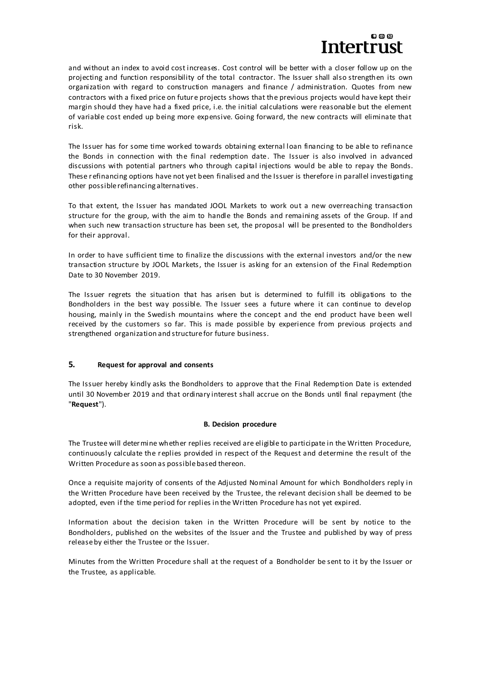# മൈത tertrust

and without an index to avoid cost increases. Cost control will be better with a closer follow up on the projecting and function responsibility of the total contractor. The Issuer shall also strengthen its own organization with regard to construction managers and finance / administration. Quotes from new contractors with a fixed price on future projects shows that the previous projects would have kept their margin should they have had a fixed price, i.e. the initial calculations were reasonable but the element of variable cost ended up being more expensive. Going forward, the new contracts will eliminate that risk.

The Issuer has for some time worked towards obtaining external loan financing to be able to refinance the Bonds in connection with the final redemption date. The Issuer is also involved in advanced discussions with potential partners who through capital injections would be able to repay the Bonds. These refinancing options have not yet been finalised and the Issuer is therefore in parallel investigating other possible refinancing alternatives.

To that extent, the Issuer has mandated JOOL Markets to work out a new overreaching transaction structure for the group, with the aim to handle the Bonds and remaining assets of the Group. If and when such new transaction structure has been set, the proposal will be presented to the Bondholders for their approval.

In order to have sufficient time to finalize the discussions with the external investors and/or the new transaction structure by JOOL Markets, the Issuer is asking for an extension of the Final Redemption Date to 30 November 2019.

The Issuer regrets the situation that has arisen but is determined to fulfill its obligations to the Bondholders in the best way possible. The Issuer sees a future where it can continue to develop housing, mainly in the Swedish mountains where the concept and the end product have been well received by the customers so far. This is made possible by experience from previous projects and strengthened organization and structure for future business.

# **5. Request for approval and consents**

The Issuer hereby kindly asks the Bondholders to approve that the Final Redemption Date is extended until 30 November 2019 and that ordinary interest shall accrue on the Bonds until final repayment (the "**Request**").

# **B. Decision procedure**

The Trustee will determine whether replies received are eligible to participate in the Written Procedure, continuously calculate the replies provided in respect of the Request and determine the result of the Written Procedure as soon as possible based thereon.

Once a requisite majority of consents of the Adjusted Nominal Amount for which Bondholders reply in the Written Procedure have been received by the Trustee, the relevant decision shall be deemed to be adopted, even if the time period for replies in the Written Procedure has not yet expired.

Information about the decision taken in the Written Procedure will be sent by notice to the Bondholders, published on the websites of the Issuer and the Trustee and published by way of press release by either the Trustee or the Issuer.

Minutes from the Written Procedure shall at the request of a Bondholder be sent to it by the Issuer or the Trustee, as applicable.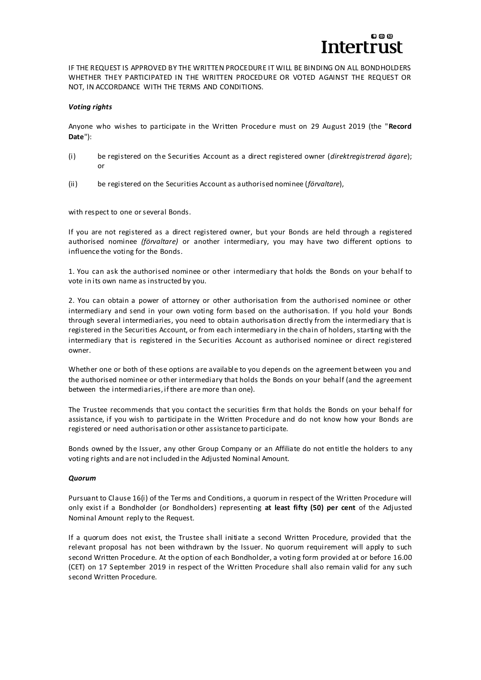

IF THE REQUEST IS APPROVED BY THE WRITTEN PROCEDURE IT WILL BE BINDING ON ALL BONDHOLDERS WHETHER THEY PARTICIPATED IN THE WRITTEN PROCEDURE OR VOTED AGAINST THE REQUEST OR NOT, IN ACCORDANCE WITH THE TERMS AND CONDITIONS.

### *Voting rights*

Anyone who wishes to participate in the Written Procedure must on 29 August 2019 (the "**Record Date**"):

- (i) be registered on the Securities Account as a direct registered owner (*direktregistrerad ägare*); or
- (ii) be registered on the Securities Account as authorised nominee (*förvaltare*),

with respect to one or several Bonds.

If you are not registered as a direct registered owner, but your Bonds are held through a registered authorised nominee *(förvaltare)* or another intermediary, you may have two different options to influence the voting for the Bonds.

1. You can ask the authorised nominee or other intermediary that holds the Bonds on your behalf to vote in its own name as instructed by you.

2. You can obtain a power of attorney or other authorisation from the authorised nominee or other intermediary and send in your own voting form based on the authorisation. If you hold your Bonds through several intermediaries, you need to obtain authorisation directly from the intermediary that is registered in the Securities Account, or from each intermediary in the chain of holders, starting with the intermediary that is registered in the Securities Account as authorised nominee or direct registered owner.

Whether one or both of these options are available to you depends on the agreement between you and the authorised nominee or other intermediary that holds the Bonds on your behalf (and the agreement between the intermediaries, if there are more than one).

The Trustee recommends that you contact the securities firm that holds the Bonds on your behalf for assistance, if you wish to participate in the Written Procedure and do not know how your Bonds are registered or need authorisation or other assistance to participate.

Bonds owned by the Issuer, any other Group Company or an Affiliate do not entitle the holders to any voting rights and are not included in the Adjusted Nominal Amount.

### *Quorum*

Pursuant to Clause 16(i) of the Terms and Conditions, a quorum in respect of the Written Procedure will only exist if a Bondholder (or Bondholders) representing **at least fifty (50) per cent** of the Adjusted Nominal Amount reply to the Request.

If a quorum does not exist, the Trustee shall initiate a second Written Procedure, provided that the relevant proposal has not been withdrawn by the Issuer. No quorum requirement will apply to such second Written Procedure. At the option of each Bondholder, a voting form provided at or before 16.00 (CET) on 17 September 2019 in respect of the Written Procedure shall also remain valid for any such second Written Procedure.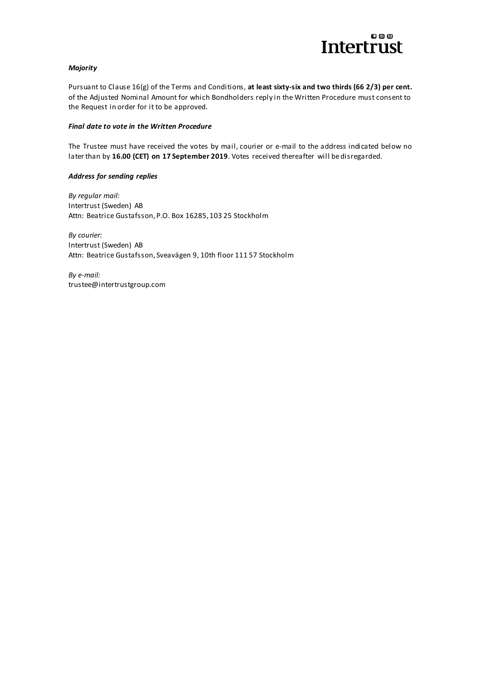

# *Majority*

Pursuant to Clause 16(g) of the Terms and Conditions, **at least sixty-six and two thirds (66 2/3) per cent.** of the Adjusted Nominal Amount for which Bondholders reply in the Written Procedure must consent to the Request in order for it to be approved.

### *Final date to vote in the Written Procedure*

The Trustee must have received the votes by mail, courier or e-mail to the address indicated below no later than by **16.00 (CET) on 17 September 2019**. Votes received thereafter will be disregarded.

### *Address for sending replies*

*By regular mail:* Intertrust (Sweden) AB Attn: Beatrice Gustafsson, P.O. Box 16285, 103 25 Stockholm

*By courier:* Intertrust (Sweden) AB Attn: Beatrice Gustafsson, Sveavägen 9, 10th floor 111 57 Stockholm

*By e-mail:* trustee@intertrustgroup.com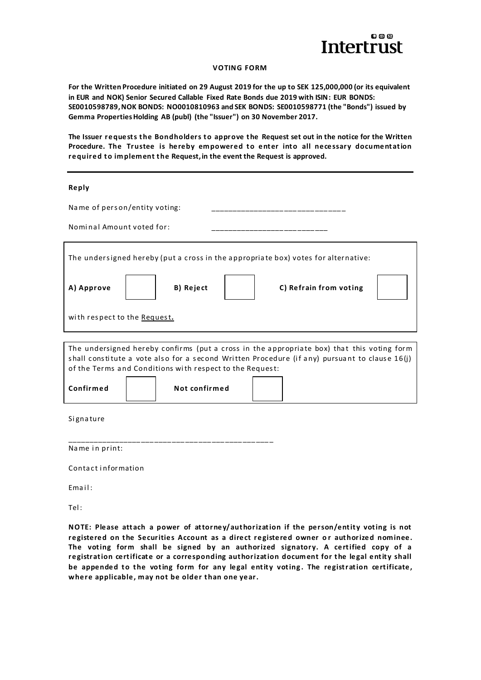

#### **VOTING FORM**

**For the Written Procedure initiated on 29 August 2019 for the up to SEK 125,000,000 (or its equivalent in EUR and NOK) Senior Secured Callable Fixed Rate Bonds due 2019 with ISIN: EUR BONDS: SE0010598789, NOK BONDS: NO0010810963 and SEK BONDS: SE0010598771 (the "Bonds") issued by Gemma Properties Holding AB (publ) (the "Issuer") on 30 November 2017.**

The Issuer requests the Bondholders to approve the Request set out in the notice for the Written Procedure. The Trustee is hereby empowered to enter into all necessary documentation required to implement the Request, in the event the Request is approved.

#### **Reply**

| Name of person/entity voting:                                                                                                                                                                                                                           |
|---------------------------------------------------------------------------------------------------------------------------------------------------------------------------------------------------------------------------------------------------------|
| Nominal Amount voted for:                                                                                                                                                                                                                               |
| The undersigned hereby (put a cross in the appropriate box) votes for alternative:                                                                                                                                                                      |
| C) Refrain from voting<br>A) Approve<br>B) Reject                                                                                                                                                                                                       |
| with respect to the Request.                                                                                                                                                                                                                            |
|                                                                                                                                                                                                                                                         |
| The undersigned hereby confirms (put a cross in the appropriate box) that this voting form<br>shall constitute a vote also for a second Written Procedure (if any) pursuant to clause 16(j)<br>of the Terms and Conditions with respect to the Request: |
| Confirmed<br>Not confirmed                                                                                                                                                                                                                              |

Si gna ture

\_\_\_\_\_\_\_\_\_\_\_\_\_\_\_\_\_\_\_\_\_\_\_\_\_\_\_\_\_\_\_\_\_\_\_\_\_\_\_\_\_\_\_\_\_\_\_ Name in print:

Contact information

Email:

Tel :

NOTE: Please attach a power of attorney/authorization if the person/entity voting is not registered on the Securities Account as a direct registered owner or authorized nominee. The voting form shall be signed by an authorized signatory. A certified copy of a registration certificate or a corresponding authorization document for the legal entity shall be appended to the voting form for any legal entity voting. The registration certificate, **where applicable, may not be older t han one year.**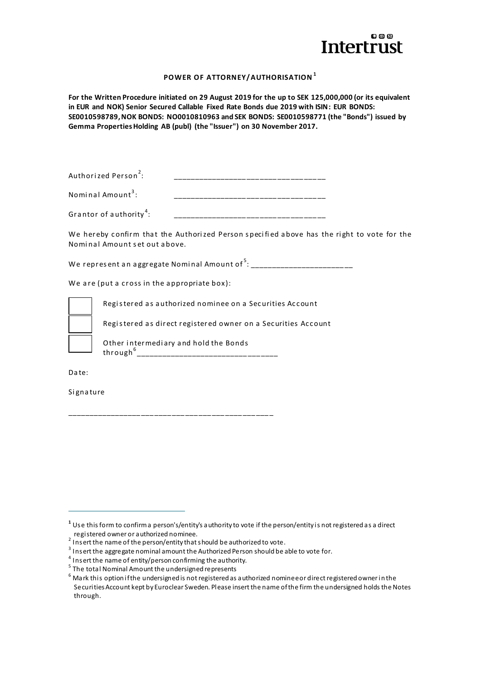

# **POWER OF ATTORNEY/AUTHORISATION <sup>1</sup>**

**For the Written Procedure initiated on 29 August 2019 for the up to SEK 125,000,000 (or its equivalent in EUR and NOK) Senior Secured Callable Fixed Rate Bonds due 2019 with ISIN: EUR BONDS: SE0010598789, NOK BONDS: NO0010810963 and SEK BONDS: SE0010598771 (the "Bonds") issued by Gemma Properties Holding AB (publ) (the "Issuer") on 30 November 2017.**

| Authorized Person <sup>2</sup> :    |  |
|-------------------------------------|--|
| Nominal Amount <sup>3</sup> :       |  |
| Grantor of authority <sup>4</sup> : |  |

We hereby confirm that the Authorized Person specified above has the right to vote for the Nominal Amount set out above.

We represent an aggregate Nominal Amount of  $^5:$  \_\_\_\_\_\_\_\_\_\_\_\_\_\_\_\_\_\_\_\_\_\_\_\_\_\_\_\_\_

We are (put a cross in the appropriate box):

Registered as authorized nominee on a Securities Account

Registered as direct registered owner on a Securities Account

Other intermediary and hold the Bonds through<sup>6</sup> \_\_\_\_\_\_\_\_\_\_\_\_\_\_\_\_\_\_\_\_\_\_\_\_\_\_\_\_\_\_\_\_\_

Da te:

 $\overline{a}$ 

Si gna ture

\_\_\_\_\_\_\_\_\_\_\_\_\_\_\_\_\_\_\_\_\_\_\_\_\_\_\_\_\_\_\_\_\_\_\_\_\_\_\_\_\_\_\_\_\_\_\_

**<sup>1</sup>** Use this form to confirm a person's/entity's authority to vote if the person/entity is not registered as a direct registered owner or authorized nominee.

 $2$  Insert the name of the person/entity that should be authorized to vote.

 $^3$  Insert the aggregate nominal amount the Authorized Person should be able to vote for.

 $^4$  Insert the name of entity/person confirming the authority.

<sup>&</sup>lt;sup>5</sup> The total Nominal Amount the undersigned represents

 $^6$  Mark this option if the undersigned is not registered as authorized nominee or direct registered owner in the Securities Account kept by Euroclear Sweden. Please insert the name of the firm the undersigned holds the Notes through.